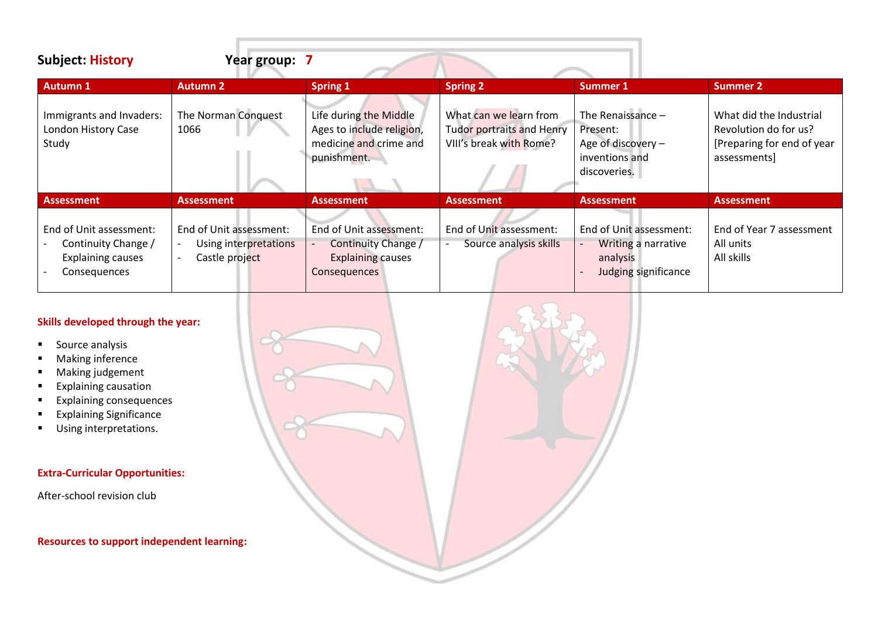| <b>Subject: History</b>                                                                    | Year group: 7                                                      |                                                                                              |                                                                                |                                                                                                                              |                                                                                               |  |
|--------------------------------------------------------------------------------------------|--------------------------------------------------------------------|----------------------------------------------------------------------------------------------|--------------------------------------------------------------------------------|------------------------------------------------------------------------------------------------------------------------------|-----------------------------------------------------------------------------------------------|--|
| <b>Autumn 1</b>                                                                            | <b>Autumn 2</b>                                                    | Spring 1                                                                                     | <b>Spring 2</b>                                                                | <b>Summer 1</b>                                                                                                              | <b>Summer 2</b>                                                                               |  |
| Immigrants and Invaders:<br>London History Case<br>Study                                   | The Norman Conquest<br>1066                                        | Life during the Middle<br>Ages to include religion,<br>medicine and crime and<br>punishment. | What can we learn from<br>Tudor portraits and Henry<br>VIII's break with Rome? | The Renaissance -<br>Present:<br>Age of discovery -<br>inventions and<br>discoveries.                                        | What did the Industrial<br>Revolution do for us?<br>[Preparing for end of year<br>assessments |  |
| <b>Assessment</b>                                                                          | <b>Assessment</b>                                                  | <b>Assessment</b>                                                                            | <b>Assessment</b>                                                              | <b>Assessment</b>                                                                                                            | <b>Assessment</b>                                                                             |  |
| End of Unit assessment:<br>Continuity Change /<br><b>Explaining causes</b><br>Consequences | End of Unit assessment:<br>Using interpretations<br>Castle project | End of Unit assessment:<br>Continuity Change /<br><b>Explaining causes</b><br>Consequences   | End of Unit assessment:<br>Source analysis skills                              | End of Unit assessment:<br><b>Writing a narrative</b><br>$\overline{\phantom{a}}$<br>analysis<br><b>Judging significance</b> | End of Year 7 assessment<br>All units<br>All skills                                           |  |

### **Skills developed through the year:**

- Source analysis
- Making inference
- Making judgement
- Explaining causation
- Explaining consequences
- **Explaining Significance**
- Using interpretations.

# **Extra-Curricular Opportunities:**

After-school revision club

**Resources to support independent learning:**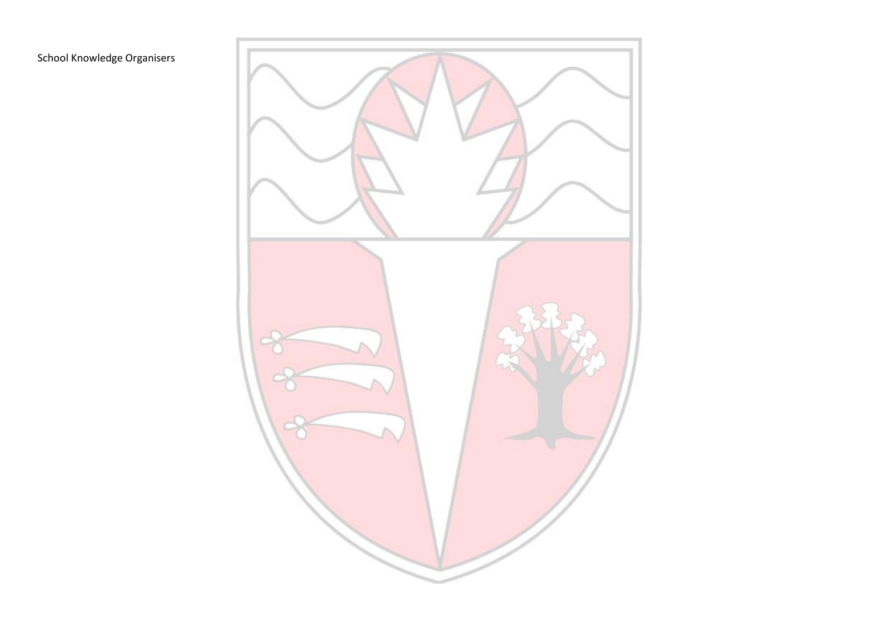# School Knowledge Organisers

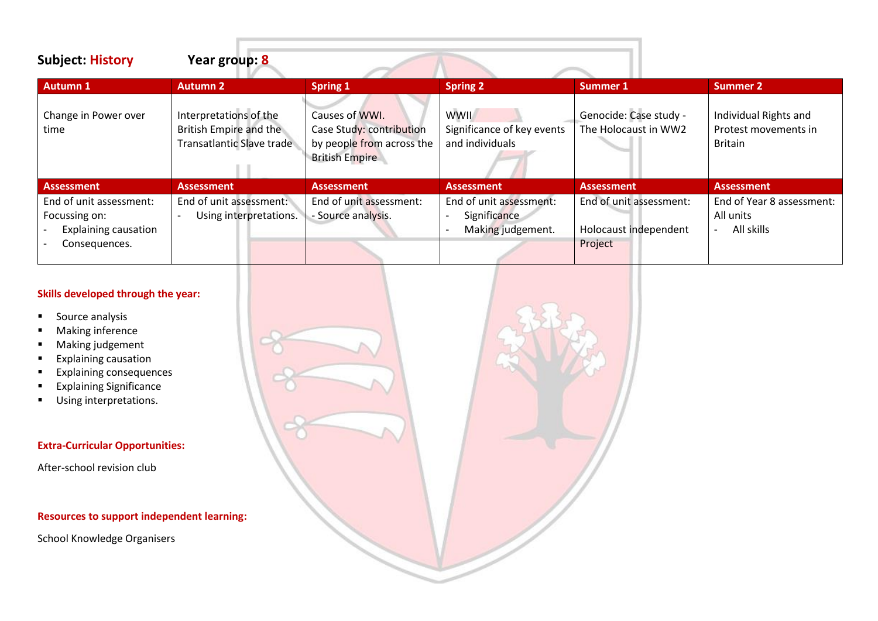| <b>Subject: History</b>                                                                  | Year group: 8                                                                 |                                                                                                  |                                                              |                                                             |                                                                 |
|------------------------------------------------------------------------------------------|-------------------------------------------------------------------------------|--------------------------------------------------------------------------------------------------|--------------------------------------------------------------|-------------------------------------------------------------|-----------------------------------------------------------------|
| <b>Autumn 1</b>                                                                          | <b>Autumn 2</b>                                                               | <b>Spring 1</b>                                                                                  | <b>Spring 2</b>                                              | Summer 1                                                    | <b>Summer 2</b>                                                 |
| Change in Power over<br>time                                                             | Interpretations of the<br>British Empire and the<br>Transatlantic Slave trade | Causes of WWI.<br>Case Study: contribution<br>by people from across the<br><b>British Empire</b> | <b>WWII</b><br>Significance of key events<br>and individuals | Genocide: Case study -<br>The Holocaust in WW2              | Individual Rights and<br>Protest movements in<br><b>Britain</b> |
| <b>Assessment</b>                                                                        | <b>Assessment</b>                                                             | <b>Assessment</b>                                                                                | <b>Assessment</b>                                            | <b>Assessment</b>                                           | <b>Assessment</b>                                               |
| End of unit assessment:<br>Focussing on:<br><b>Explaining causation</b><br>Consequences. | End of unit assessment:<br>Using interpretations.                             | End of unit assessment:<br>- Source analysis.                                                    | End of unit assessment:<br>Significance<br>Making judgement. | End of unit assessment:<br>Holocaust independent<br>Project | End of Year 8 assessment:<br>All units<br>All skills            |

## **Skills developed through the year:**

- Source analysis
- Making inference
- Making judgement
- Explaining causation
- Explaining consequences
- Explaining Significance
- Using interpretations.

## **Extra-Curricular Opportunities:**

After-school revision club

### **Resources to support independent learning:**

**P** 9

School Knowledge Organisers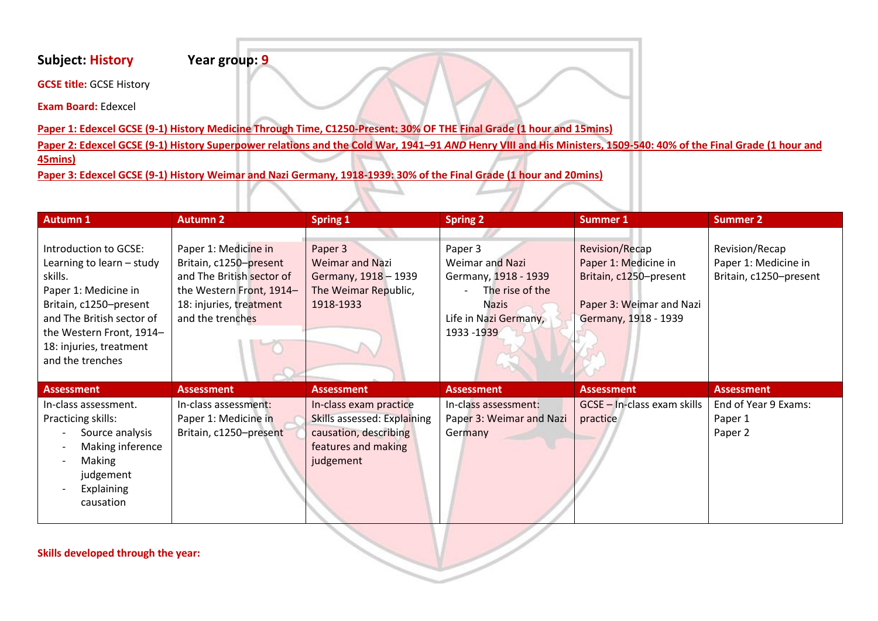# **Subject: History Year group: 9**

**GCSE title:** GCSE History

**Exam Board:** Edexcel

**Paper 1: Edexcel GCSE (9-1) History Medicine Through Time, C1250-Present: 30% OF THE Final Grade (1 hour and 15mins)** 

**Paper 2: Edexcel GCSE (9-1) History Superpower relations and the Cold War, 1941–91** *AND* **Henry VIII and His Ministers, 1509-540: 40% of the Final Grade (1 hour and**

**45mins)** 

**Paper 3: Edexcel GCSE (9-1) History Weimar and Nazi Germany, 1918-1939: 30% of the Final Grade (1 hour and 20mins)**

| Autumn 1                                                                                                                                                                                                                | <b>Autumn 2</b>                                                                                                                                        | <b>Spring 1</b>                                                                                                    | <b>Spring 2</b>                                                                                                                      | <b>Summer 1</b>                                                                                                             | <b>Summer 2</b>                                                  |
|-------------------------------------------------------------------------------------------------------------------------------------------------------------------------------------------------------------------------|--------------------------------------------------------------------------------------------------------------------------------------------------------|--------------------------------------------------------------------------------------------------------------------|--------------------------------------------------------------------------------------------------------------------------------------|-----------------------------------------------------------------------------------------------------------------------------|------------------------------------------------------------------|
| Introduction to GCSE:<br>Learning to learn - study<br>skills.<br>Paper 1: Medicine in<br>Britain, c1250-present<br>and The British sector of<br>the Western Front, 1914-<br>18: injuries, treatment<br>and the trenches | Paper 1: Medicine in<br>Britain, c1250-present<br>and The British sector of<br>the Western Front, 1914-<br>18: injuries, treatment<br>and the trenches | Paper 3<br><b>Weimar and Nazi</b><br>Germany, 1918 - 1939<br>The Weimar Republic,<br>1918-1933                     | Paper 3<br><b>Weimar and Nazi</b><br>Germany, 1918 - 1939<br>The rise of the<br><b>Nazis</b><br>Life in Nazi Germany,<br>1933 - 1939 | <b>Revision/Recap</b><br>Paper 1: Medicine in<br>Britain, c1250-present<br>Paper 3: Weimar and Nazi<br>Germany, 1918 - 1939 | Revision/Recap<br>Paper 1: Medicine in<br>Britain, c1250-present |
| <b>Assessment</b>                                                                                                                                                                                                       | <b>Assessment</b>                                                                                                                                      | <b>Assessment</b>                                                                                                  | <b>Assessment</b>                                                                                                                    | <b>Assessment</b>                                                                                                           | <b>Assessment</b>                                                |
| In-class assessment.<br>Practicing skills:<br>Source analysis<br>Making inference<br>$\overline{\phantom{a}}$<br>Making<br>judgement<br><b>Explaining</b><br>causation                                                  | In-class assessment:<br>Paper 1: Medicine in<br>Britain, c1250-present                                                                                 | In-class exam practice<br>Skills assessed: Explaining<br>causation, describing<br>features and making<br>judgement | In-class assessment:<br>Paper 3: Weimar and Nazi<br>Germany                                                                          | GCSE - In-class exam skills<br>practice                                                                                     | End of Year 9 Exams:<br>Paper 1<br>Paper 2                       |

**Skills developed through the year:**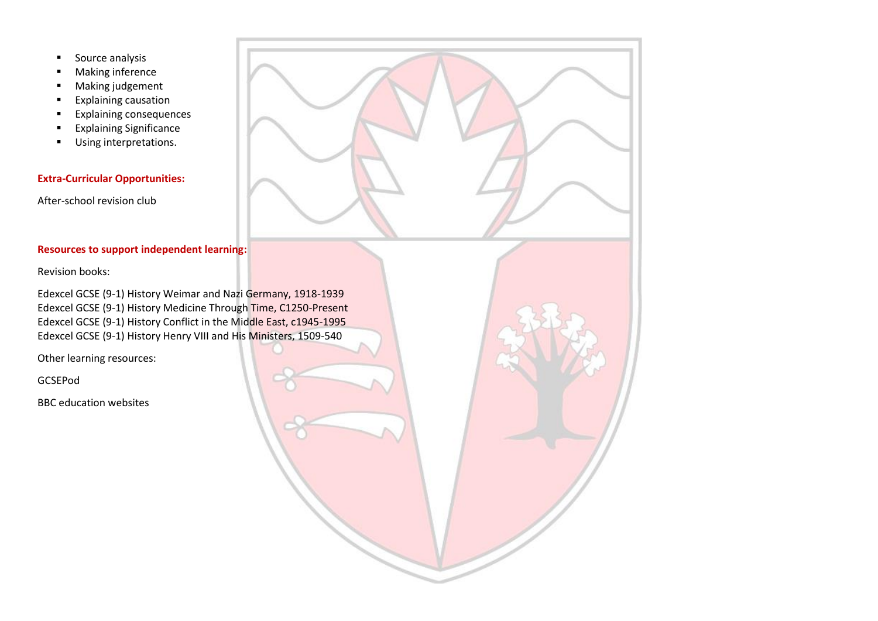- Source analysis
- Making inference
- Making judgement
- Explaining causation
- Explaining consequences
- Explaining Significance
- Using interpretations.

# **Extra-Curricular Opportunities:**

After-school revision club

### **Resources to support independent learning:**

Revision books:

Edexcel GCSE (9-1) History Weimar and Nazi Germany, 1918-1939 Edexcel GCSE (9-1) History Medicine Through Time, C1250-Present Edexcel GCSE (9-1) History Conflict in the Middle East, c1945-1995 Edexcel GCSE (9-1) History Henry VIII and His Ministers, 1509-540

Other learning resources:

GCSEPod

BBC education websites

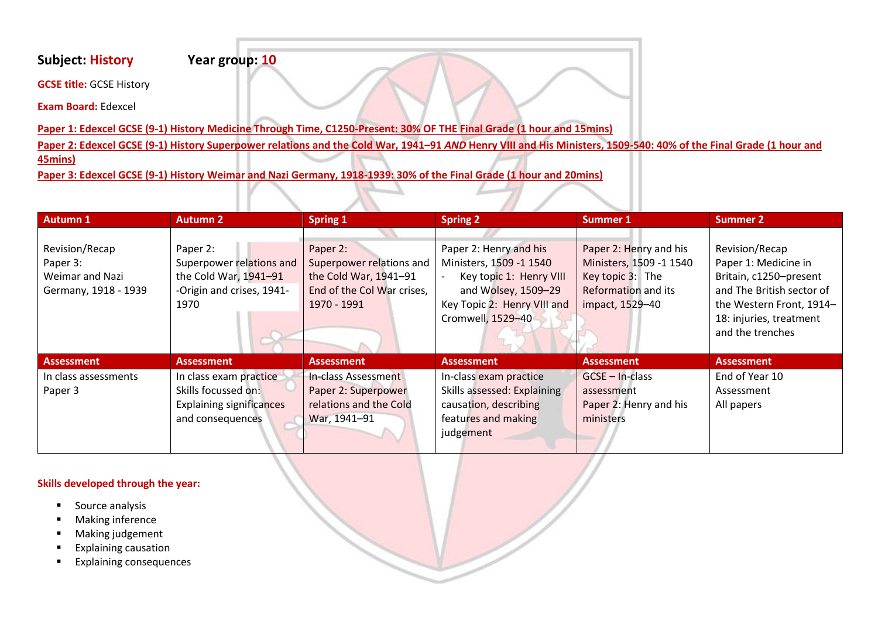# **Subject: History Year group: 10**

**GCSE title:** GCSE History

**Exam Board:** Edexcel

**Paper 1: Edexcel GCSE (9-1) History Medicine Through Time, C1250-Present: 30% OF THE Final Grade (1 hour and 15mins)** 

**Paper 2: Edexcel GCSE (9-1) History Superpower relations and the Cold War, 1941–91** *AND* **Henry VIII and His Ministers, 1509-540: 40% of the Final Grade (1 hour and**

**45mins)** 

**Paper 3: Edexcel GCSE (9-1) History Weimar and Nazi Germany, 1918-1939: 30% of the Final Grade (1 hour and 20mins)**

| <b>Autumn 1</b>      | <b>Autumn 2</b>                 | <b>Spring 1</b>            | <b>Spring 2</b>             | <b>Summer 1</b>            | <b>Summer 2</b>           |
|----------------------|---------------------------------|----------------------------|-----------------------------|----------------------------|---------------------------|
|                      |                                 |                            |                             |                            |                           |
| Revision/Recap       | Paper 2:                        | Paper 2:                   | Paper 2: Henry and his      | Paper 2: Henry and his     | Revision/Recap            |
| Paper 3:             | Superpower relations and        | Superpower relations and   | Ministers, 1509 -1 1540     | Ministers, 1509 -1 1540    | Paper 1: Medicine in      |
| Weimar and Nazi      | the Cold War, 1941-91           | the Cold War, 1941-91      | Key topic 1: Henry VIII     | Key topic 3: The           | Britain, c1250-present    |
| Germany, 1918 - 1939 | -Origin and crises, 1941-       | End of the Col War crises, | and Wolsey, 1509-29         | <b>Reformation and its</b> | and The British sector of |
|                      | 1970                            | 1970 - 1991                | Key Topic 2: Henry VIII and | impact, 1529-40            | the Western Front, 1914-  |
|                      |                                 |                            | Cromwell, 1529-40           |                            | 18: injuries, treatment   |
|                      |                                 |                            |                             |                            | and the trenches          |
|                      |                                 |                            |                             |                            |                           |
| <b>Assessment</b>    | <b>Assessment</b>               | <b>Assessment</b>          | <b>Assessment</b>           | <b>Assessment</b>          | <b>Assessment</b>         |
| In class assessments | In class exam practice          | <b>In-class Assessment</b> | In-class exam practice      | $GCSE - In-class$          | End of Year 10            |
| Paper 3              | Skills focussed on:             | Paper 2: Superpower        | Skills assessed: Explaining | assessment                 | Assessment                |
|                      | <b>Explaining significances</b> | relations and the Cold     | causation, describing       | Paper 2: Henry and his     | All papers                |
|                      | and consequences                | War, 1941-91               | features and making         | ministers                  |                           |
|                      |                                 |                            | judgement                   |                            |                           |
|                      |                                 |                            |                             |                            |                           |

### **Skills developed through the year:**

- Source analysis
- Making inference
- Making judgement
- Explaining causation
- Explaining consequences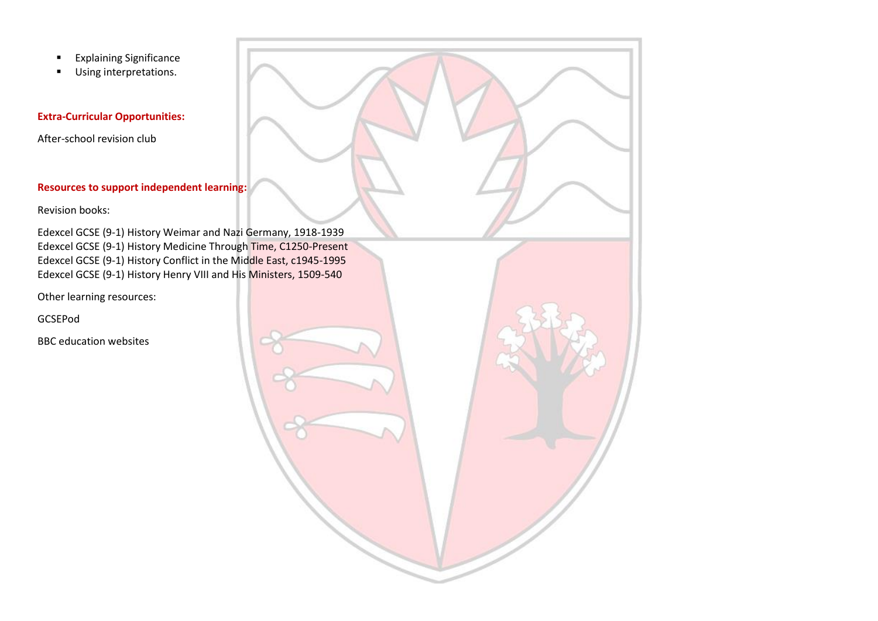- Explaining Significance
- Using interpretations.

### **Extra-Curricular Opportunities:**

After-school revision club

## **Resources to support independent learning:**

Revision books:

Edexcel GCSE (9-1) History Weimar and Nazi Germany, 1918-1939 Edexcel GCSE (9-1) History Medicine Through Time, C1250-Present Edexcel GCSE (9-1) History Conflict in the Middle East, c1945-1995 Edexcel GCSE (9-1) History Henry VIII and His Ministers, 1509-540

Other learning resources:

GCSEPod

BBC education websites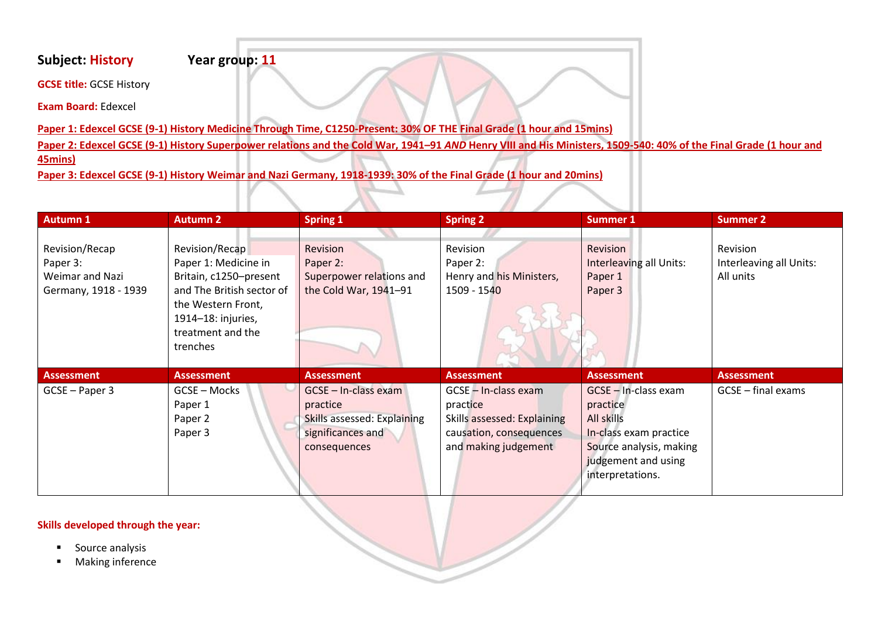# **Subject: History Year group: 11**

**GCSE title:** GCSE History

**Exam Board:** Edexcel

**Paper 1: Edexcel GCSE (9-1) History Medicine Through Time, C1250-Present: 30% OF THE Final Grade (1 hour and 15mins)** 

**Paper 2: Edexcel GCSE (9-1) History Superpower relations and the Cold War, 1941–91** *AND* **Henry VIII and His Ministers, 1509-540: 40% of the Final Grade (1 hour and**

**45mins)** 

**Paper 3: Edexcel GCSE (9-1) History Weimar and Nazi Germany, 1918-1939: 30% of the Final Grade (1 hour and 20mins)**

| <b>Autumn 1</b>      | <b>Autumn 2</b>           | <b>Spring 1</b>                    | <b>Spring 2</b>             | Summer 1                | <b>Summer 2</b>         |
|----------------------|---------------------------|------------------------------------|-----------------------------|-------------------------|-------------------------|
|                      |                           |                                    |                             |                         |                         |
| Revision/Recap       | Revision/Recap            | Revision                           | Revision                    | <b>Revision</b>         | Revision                |
| Paper 3:             | Paper 1: Medicine in      | Paper 2:                           | Paper 2:                    | Interleaving all Units: | Interleaving all Units: |
| Weimar and Nazi      | Britain, c1250-present    | Superpower relations and           | Henry and his Ministers,    | Paper 1                 | All units               |
| Germany, 1918 - 1939 | and The British sector of | the Cold War, 1941-91              | 1509 - 1540                 | Paper 3                 |                         |
|                      | the Western Front,        |                                    |                             |                         |                         |
|                      | 1914-18: injuries,        |                                    |                             |                         |                         |
|                      | treatment and the         |                                    |                             |                         |                         |
|                      | trenches                  |                                    |                             |                         |                         |
|                      |                           |                                    |                             |                         |                         |
| Assessment           | <b>Assessment</b>         | <b>Assessment</b>                  | <b>Assessment</b>           | <b>Assessment</b>       | <b>Assessment</b>       |
| GCSE - Paper 3       | GCSE - Mocks              | GCSE - In-class exam               | GCSE - In-class exam        | GCSE - In-class exam    | $GCSE$ – final exams    |
|                      | Paper 1                   | practice                           | practice                    | practice                |                         |
|                      | Paper 2                   | <b>Skills assessed: Explaining</b> | Skills assessed: Explaining | All skills              |                         |
|                      | Paper 3                   | significances and                  | causation, consequences     | In-class exam practice  |                         |
|                      |                           | consequences                       | and making judgement        | Source analysis, making |                         |
|                      |                           |                                    |                             | judgement and using     |                         |
|                      |                           |                                    |                             | interpretations.        |                         |
|                      |                           |                                    |                             |                         |                         |

#### **Skills developed through the year:**

- Source analysis
- Making inference